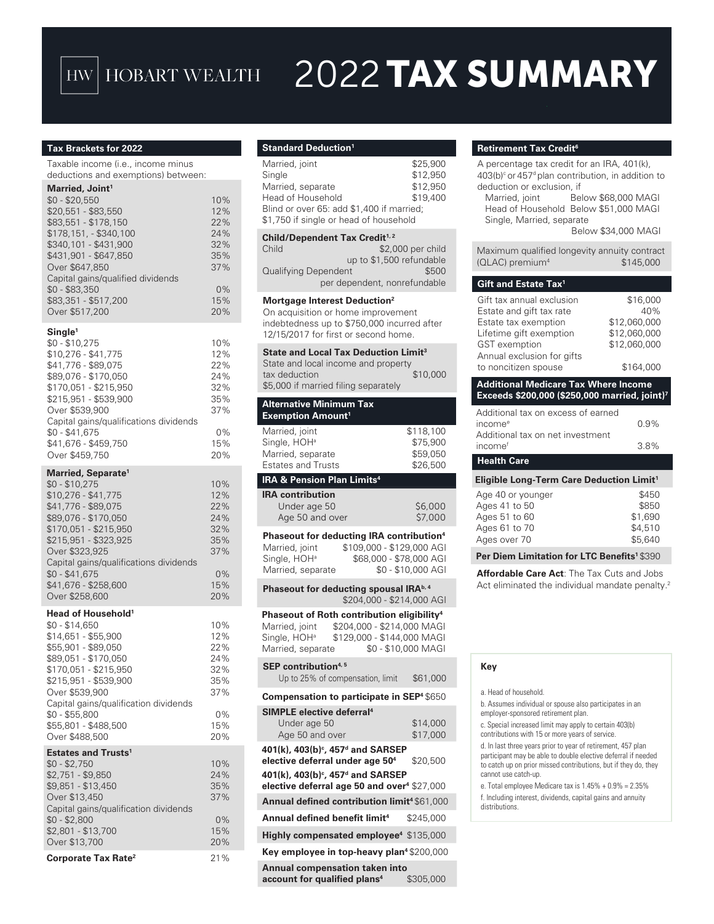## HW HOBART WEALTH

# 2022 TAX SUMMARY

#### **Tax Brackets for 2022**

Taxable income (i.e., income minus deductions and exemptions) between:

## **Married, Joint1**

| $$0 - $20,550$<br>\$20,551 - \$83,550<br>\$83,551 - \$178,150<br>\$178,151, - \$340,100<br>\$340,101 - \$431,900<br>\$431,901 - \$647,850<br>Over \$647,850<br>Capital gains/qualified dividends<br>$$0 - $83,350$<br>\$83,351 - \$517,200<br>Over \$517,200                                     | 10%<br>12%<br>22%<br>24%<br>32%<br>35%<br>37%<br>0%<br>15%<br>20% |
|--------------------------------------------------------------------------------------------------------------------------------------------------------------------------------------------------------------------------------------------------------------------------------------------------|-------------------------------------------------------------------|
| Single <sup>1</sup><br>$$0 - $10,275$<br>\$10,276 - \$41,775<br>\$41,776 - \$89,075<br>\$89,076 - \$170,050<br>\$170,051 - \$215,950<br>\$215,951 - \$539,900<br>Over \$539,900<br>Capital gains/qualifications dividends<br>$$0 - $41,675$<br>\$41,676 - \$459,750<br>Over \$459,750            | 10%<br>12%<br>22%<br>24%<br>32%<br>35%<br>37%<br>0%<br>15%<br>20% |
| Married, Separate <sup>1</sup><br>$$0 - $10.275$<br>\$10,276 - \$41,775<br>\$41,776 - \$89,075<br>\$89,076 - \$170,050<br>\$170,051 - \$215,950<br>\$215,951 - \$323,925<br>Over \$323,925<br>Capital gains/qualifications dividends<br>$$0 - $41,675$<br>\$41,676 - \$258,600<br>Over \$258,600 | 10%<br>12%<br>22%<br>24%<br>32%<br>35%<br>37%<br>0%<br>15%<br>20% |

#### **Head of Household1**

Over \$258,600

| Head of Household'                    |       |
|---------------------------------------|-------|
| \$0 - \$14,650                        | 10%   |
| \$14.651 - \$55.900                   | 12%   |
| \$55,901 - \$89,050                   | 22%   |
| \$89.051 - \$170.050                  | 24%   |
| \$170.051 - \$215.950                 | 32%   |
| \$215,951 - \$539,900                 | 35%   |
| Over \$539,900                        | 37%   |
| Capital gains/qualification dividends |       |
| \$0 - \$55,800                        | 0%    |
| \$55.801 - \$488.500                  | 15%   |
| Over \$488,500                        | 20%   |
| <b>Estates and Trusts<sup>1</sup></b> |       |
| $$0 - $2,750$                         | 10%   |
| \$2,751 - \$9,850                     | 24%   |
| \$9.851 - \$13.450                    | 35%   |
| Over \$13,450                         | 37%   |
| Capital gains/qualification dividends |       |
| $$0 - $2,800$                         | $0\%$ |
| \$2,801 - \$13,700                    | 15%   |

Over \$13,700 20%

| Standard Deduction <sup>1</sup>                                                                                                                                                                           |                                               |
|-----------------------------------------------------------------------------------------------------------------------------------------------------------------------------------------------------------|-----------------------------------------------|
| Married, joint<br>Single<br>Married, separate<br>Head of Household<br>Blind or over 65: add \$1,400 if married;<br>\$1,750 if single or head of household                                                 | \$25,900<br>\$12,950<br>\$12,950<br>\$19,400  |
| Child/Dependent Tax Credit <sup>1, 2</sup>                                                                                                                                                                |                                               |
| Child<br>up to \$1,500 refundable<br>Qualifying Dependent<br>per dependent, nonrefundable                                                                                                                 | \$2,000 per child<br>\$500                    |
| Mortgage Interest Deduction <sup>2</sup><br>On acquisition or home improvement<br>indebtedness up to \$750,000 incurred after<br>12/15/2017 for first or second home.                                     |                                               |
| <b>State and Local Tax Deduction Limit<sup>3</sup></b><br>State and local income and property<br>tax deduction<br>\$5,000 if married filing separately                                                    | \$10,000                                      |
| <b>Alternative Minimum Tax</b><br><b>Exemption Amount<sup>1</sup></b>                                                                                                                                     |                                               |
| Married, joint<br>Single, HOH <sup>a</sup><br>Married, separate<br><b>Estates and Trusts</b>                                                                                                              | \$118,100<br>\$75,900<br>\$59,050<br>\$26,500 |
| <b>IRA &amp; Pension Plan Limits<sup>4</sup></b>                                                                                                                                                          |                                               |
| <b>IRA contribution</b>                                                                                                                                                                                   |                                               |
| Under age 50<br>Age 50 and over                                                                                                                                                                           | \$6,000<br>\$7,000                            |
| Phaseout for deducting IRA contribution <sup>4</sup><br>\$109,000 - \$129,000 AGI<br>Married, joint<br>\$68,000 - \$78,000 AGI<br>Single, HOH <sup>a</sup><br>Married, separate                           | \$0 - \$10,000 AGI                            |
| Phaseout for deducting spousal IRA <sup>b, 4</sup><br>\$204,000 - \$214,000 AGI                                                                                                                           |                                               |
| Phaseout of Roth contribution eligibility <sup>4</sup><br>\$204,000 - \$214,000 MAGI<br>Married, joint<br>Single, HOH <sup>a</sup> \$129,000 - \$144,000 MAGI<br>Married, separate<br>\$0 - \$10,000 MAGI |                                               |
| $\text{SEP}$ contribution <sup>4,5</sup><br>Up to 25% of compensation, limit                                                                                                                              | \$61,000                                      |
| <b>Compensation to participate in SEP<sup>4</sup> \$650</b>                                                                                                                                               |                                               |
|                                                                                                                                                                                                           |                                               |
| <b>SIMPLE elective deferral<sup>4</sup></b><br>Under age 50<br>Age 50 and over                                                                                                                            | \$14,000<br>\$17,000                          |
| 401(k), 403(b)°, 457 <sup>d</sup> and SARSEP<br>elective deferral under age 50 <sup>4</sup><br>401(k), 403(b) <sup>c</sup> , 457 <sup>d</sup> and SARSEP                                                  | \$20,500                                      |
| elective deferral age 50 and over <sup>4</sup> \$27,000                                                                                                                                                   |                                               |
| Annual defined contribution limit <sup>4</sup> \$61,000                                                                                                                                                   |                                               |
| Annual defined benefit limit <sup>4</sup>                                                                                                                                                                 | \$245,000                                     |
| Highly compensated employee <sup>4</sup> \$135,000                                                                                                                                                        |                                               |
| Key employee in top-heavy plan <sup>4</sup> \$200,000                                                                                                                                                     |                                               |
| Annual compensation taken into                                                                                                                                                                            |                                               |

#### **account for qualified plans4** \$305,000

#### **Retirement Tax Credit6**

| deduction or exclusion, if<br>Single, Married, separate                                                                                                                                | A percentage tax credit for an IRA, 401(k),<br>$403(b)$ <sup>c</sup> or $457d$ plan contribution, in addition to<br>Married, joint Below \$68,000 MAGI<br>Head of Household Below \$51,000 MAGI<br>Below \$34,000 MAGI |
|----------------------------------------------------------------------------------------------------------------------------------------------------------------------------------------|------------------------------------------------------------------------------------------------------------------------------------------------------------------------------------------------------------------------|
| Maximum qualified longevity annuity contract<br>(QLAC) premium <sup>4</sup>                                                                                                            | \$145,000                                                                                                                                                                                                              |
| Gift and Estate Tax <sup>1</sup>                                                                                                                                                       |                                                                                                                                                                                                                        |
| Gift tax annual exclusion<br>Estate and gift tax rate<br>Estate tax exemption<br>Lifetime gift exemption<br><b>GST</b> exemption<br>Annual exclusion for gifts<br>to noncitizen spouse | \$16,000<br>40%<br>\$12,060,000<br>\$12,060,000<br>\$12,060,000<br>\$164,000                                                                                                                                           |
| <b>Additional Medicare Tax Where Income</b>                                                                                                                                            |                                                                                                                                                                                                                        |
|                                                                                                                                                                                        | Exceeds \$200,000 (\$250,000 married, joint) <sup>7</sup>                                                                                                                                                              |
| Additional tax on excess of earned<br>income <sup>e</sup>                                                                                                                              | 0.9%                                                                                                                                                                                                                   |
| Additional tax on net investment                                                                                                                                                       |                                                                                                                                                                                                                        |
| incomef                                                                                                                                                                                | 3.8%                                                                                                                                                                                                                   |
| <b>Health Care</b>                                                                                                                                                                     |                                                                                                                                                                                                                        |
| Eligible Long-Term Care Deduction Limit <sup>1</sup>                                                                                                                                   |                                                                                                                                                                                                                        |
| Age 40 or younger<br>Ages 41 to 50<br>Ages 51 to 60<br>Ages 61 to 70<br>Ages over 70                                                                                                   | \$450<br>\$850<br>\$1,690<br>\$4,510<br>\$5.640                                                                                                                                                                        |
| Per Diem Limitation for LTC Benefits <sup>1</sup> \$390                                                                                                                                |                                                                                                                                                                                                                        |

#### **Key**

a. Head of household.

- b. Assumes individual or spouse also participates in an employer-sponsored retirement plan.
- c. Special increased limit may apply to certain 403(b) contributions with 15 or more years of service.

d. In last three years prior to year of retirement, 457 plan participant may be able to double elective deferral if needed to catch up on prior missed contributions, but if they do, they cannot use catch-up.

- e. Total employee Medicare tax is 1.45% + 0.9% = 2.35%
- f. Including interest, dividends, capital gains and annuity distributions.

**Corporate Tax Rate<sup>2</sup> 21%**